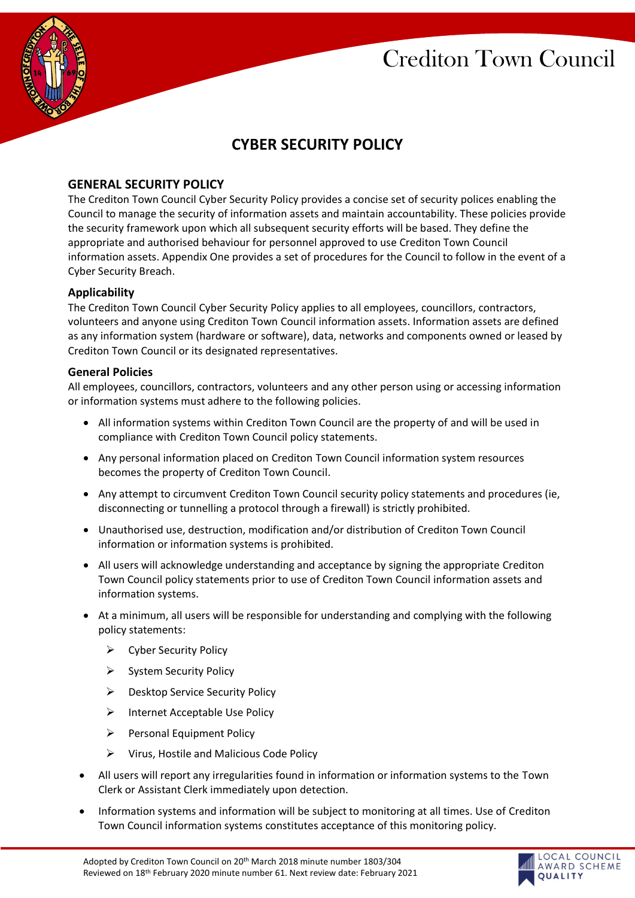

# **CYBER SECURITY POLICY**

# **GENERAL SECURITY POLICY**

The Crediton Town Council Cyber Security Policy provides a concise set of security polices enabling the Council to manage the security of information assets and maintain accountability. These policies provide the security framework upon which all subsequent security efforts will be based. They define the appropriate and authorised behaviour for personnel approved to use Crediton Town Council information assets. Appendix One provides a set of procedures for the Council to follow in the event of a Cyber Security Breach.

# **Applicability**

The Crediton Town Council Cyber Security Policy applies to all employees, councillors, contractors, volunteers and anyone using Crediton Town Council information assets. Information assets are defined as any information system (hardware or software), data, networks and components owned or leased by Crediton Town Council or its designated representatives.

#### **General Policies**

All employees, councillors, contractors, volunteers and any other person using or accessing information or information systems must adhere to the following policies.

- All information systems within Crediton Town Council are the property of and will be used in compliance with Crediton Town Council policy statements.
- Any personal information placed on Crediton Town Council information system resources becomes the property of Crediton Town Council.
- Any attempt to circumvent Crediton Town Council security policy statements and procedures (ie, disconnecting or tunnelling a protocol through a firewall) is strictly prohibited.
- Unauthorised use, destruction, modification and/or distribution of Crediton Town Council information or information systems is prohibited.
- All users will acknowledge understanding and acceptance by signing the appropriate Crediton Town Council policy statements prior to use of Crediton Town Council information assets and information systems.
- At a minimum, all users will be responsible for understanding and complying with the following policy statements:
	- ➢ Cyber Security Policy
	- ➢ System Security Policy
	- ➢ Desktop Service Security Policy
	- ➢ Internet Acceptable Use Policy
	- ➢ Personal Equipment Policy
	- ➢ Virus, Hostile and Malicious Code Policy
- All users will report any irregularities found in information or information systems to the Town Clerk or Assistant Clerk immediately upon detection.
- Information systems and information will be subject to monitoring at all times. Use of Crediton Town Council information systems constitutes acceptance of this monitoring policy.

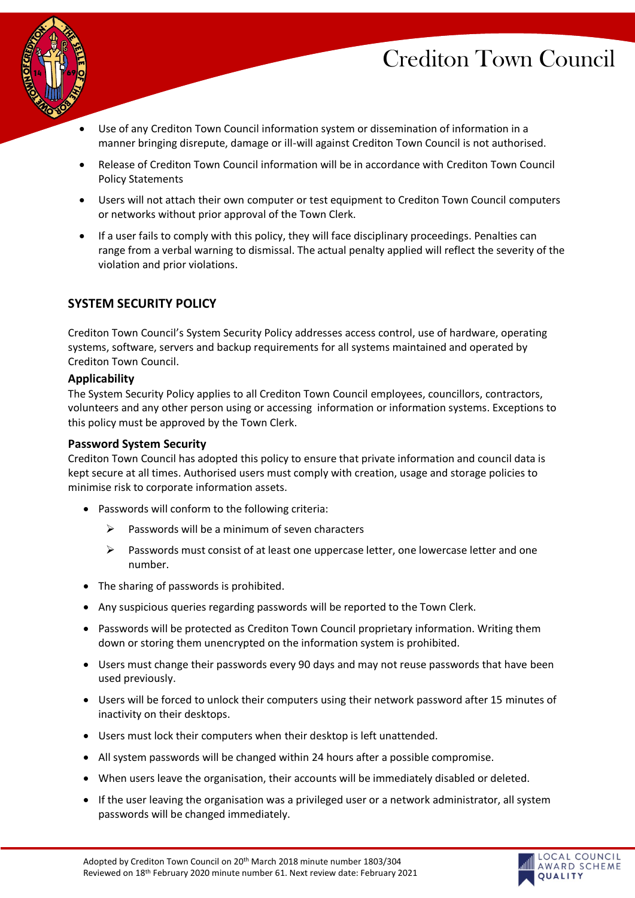LOCAL COUNCIL AWARD SCHEME **OUALITY** 



- Use of any Crediton Town Council information system or dissemination of information in a manner bringing disrepute, damage or ill-will against Crediton Town Council is not authorised.
- Release of Crediton Town Council information will be in accordance with Crediton Town Council Policy Statements
- Users will not attach their own computer or test equipment to Crediton Town Council computers or networks without prior approval of the Town Clerk.
- If a user fails to comply with this policy, they will face disciplinary proceedings. Penalties can range from a verbal warning to dismissal. The actual penalty applied will reflect the severity of the violation and prior violations.

# **SYSTEM SECURITY POLICY**

Crediton Town Council's System Security Policy addresses access control, use of hardware, operating systems, software, servers and backup requirements for all systems maintained and operated by Crediton Town Council.

#### **Applicability**

The System Security Policy applies to all Crediton Town Council employees, councillors, contractors, volunteers and any other person using or accessing information or information systems. Exceptions to this policy must be approved by the Town Clerk.

#### **Password System Security**

Crediton Town Council has adopted this policy to ensure that private information and council data is kept secure at all times. Authorised users must comply with creation, usage and storage policies to minimise risk to corporate information assets.

- Passwords will conform to the following criteria:
	- $\triangleright$  Passwords will be a minimum of seven characters
	- $\triangleright$  Passwords must consist of at least one uppercase letter, one lowercase letter and one number.
- The sharing of passwords is prohibited.
- Any suspicious queries regarding passwords will be reported to the Town Clerk.
- Passwords will be protected as Crediton Town Council proprietary information. Writing them down or storing them unencrypted on the information system is prohibited.
- Users must change their passwords every 90 days and may not reuse passwords that have been used previously.
- Users will be forced to unlock their computers using their network password after 15 minutes of inactivity on their desktops.
- Users must lock their computers when their desktop is left unattended.
- All system passwords will be changed within 24 hours after a possible compromise.
- When users leave the organisation, their accounts will be immediately disabled or deleted.
- If the user leaving the organisation was a privileged user or a network administrator, all system passwords will be changed immediately.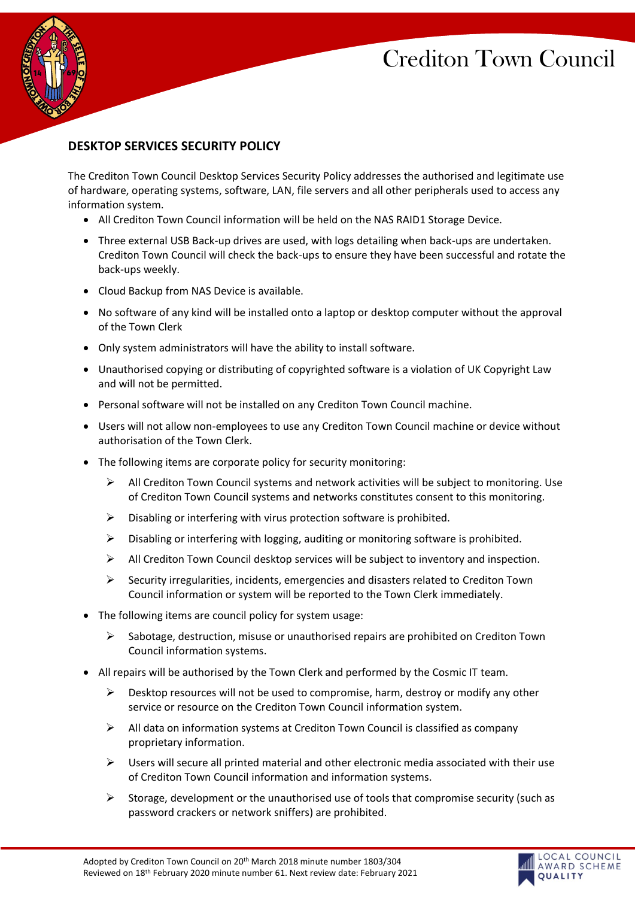LOCAL COUNCIL AWARD SCHEME **OUALITY** 



# **DESKTOP SERVICES SECURITY POLICY**

The Crediton Town Council Desktop Services Security Policy addresses the authorised and legitimate use of hardware, operating systems, software, LAN, file servers and all other peripherals used to access any information system.

- All Crediton Town Council information will be held on the NAS RAID1 Storage Device.
- Three external USB Back-up drives are used, with logs detailing when back-ups are undertaken. Crediton Town Council will check the back-ups to ensure they have been successful and rotate the back-ups weekly.
- Cloud Backup from NAS Device is available.
- No software of any kind will be installed onto a laptop or desktop computer without the approval of the Town Clerk
- Only system administrators will have the ability to install software.
- Unauthorised copying or distributing of copyrighted software is a violation of UK Copyright Law and will not be permitted.
- Personal software will not be installed on any Crediton Town Council machine.
- Users will not allow non-employees to use any Crediton Town Council machine or device without authorisation of the Town Clerk.
- The following items are corporate policy for security monitoring:
	- $\triangleright$  All Crediton Town Council systems and network activities will be subject to monitoring. Use of Crediton Town Council systems and networks constitutes consent to this monitoring.
	- ➢ Disabling or interfering with virus protection software is prohibited.
	- $\triangleright$  Disabling or interfering with logging, auditing or monitoring software is prohibited.
	- $\triangleright$  All Crediton Town Council desktop services will be subject to inventory and inspection.
	- $\triangleright$  Security irregularities, incidents, emergencies and disasters related to Crediton Town Council information or system will be reported to the Town Clerk immediately.
- The following items are council policy for system usage:
	- $\triangleright$  Sabotage, destruction, misuse or unauthorised repairs are prohibited on Crediton Town Council information systems.
- All repairs will be authorised by the Town Clerk and performed by the Cosmic IT team.
	- $\triangleright$  Desktop resources will not be used to compromise, harm, destroy or modify any other service or resource on the Crediton Town Council information system.
	- $\triangleright$  All data on information systems at Crediton Town Council is classified as company proprietary information.
	- $\triangleright$  Users will secure all printed material and other electronic media associated with their use of Crediton Town Council information and information systems.
	- $\triangleright$  Storage, development or the unauthorised use of tools that compromise security (such as password crackers or network sniffers) are prohibited.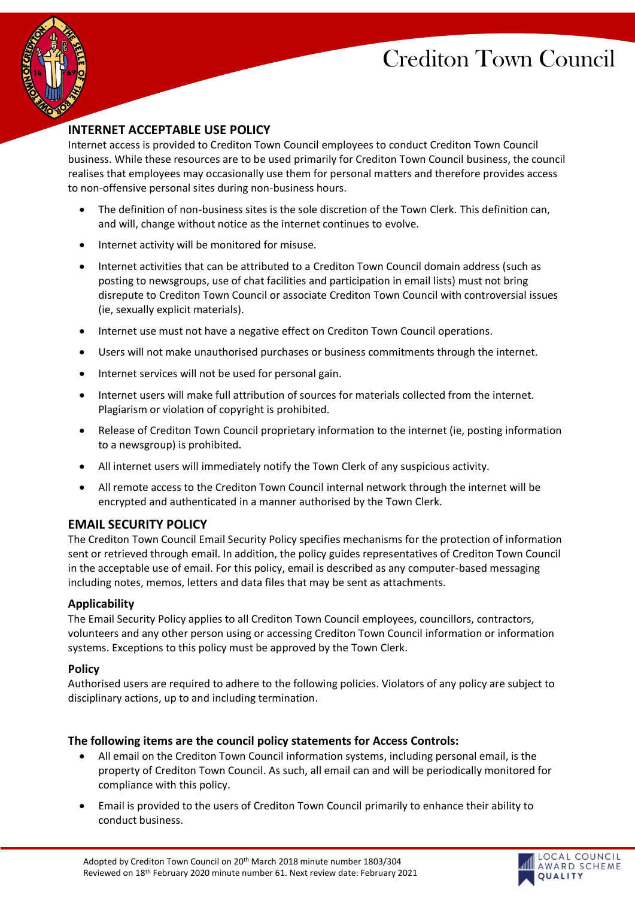LOCAL COUNCIL AWARD SCHEME

**OUALITY** 



# **INTERNET ACCEPTABLE USE POLICY**

Internet access is provided to Crediton Town Council employees to conduct Crediton Town Council business. While these resources are to be used primarily for Crediton Town Council business, the council realises that employees may occasionally use them for personal matters and therefore provides access to non-offensive personal sites during non-business hours.

- The definition of non-business sites is the sole discretion of the Town Clerk. This definition can, and will, change without notice as the internet continues to evolve.
- Internet activity will be monitored for misuse.
- Internet activities that can be attributed to a Crediton Town Council domain address (such as posting to newsgroups, use of chat facilities and participation in email lists) must not bring disrepute to Crediton Town Council or associate Crediton Town Council with controversial issues (ie, sexually explicit materials).
- Internet use must not have a negative effect on Crediton Town Council operations.
- Users will not make unauthorised purchases or business commitments through the internet.
- Internet services will not be used for personal gain.
- Internet users will make full attribution of sources for materials collected from the internet. Plagiarism or violation of copyright is prohibited.
- Release of Crediton Town Council proprietary information to the internet (ie, posting information to a newsgroup) is prohibited.
- All internet users will immediately notify the Town Clerk of any suspicious activity.
- All remote access to the Crediton Town Council internal network through the internet will be encrypted and authenticated in a manner authorised by the Town Clerk.

# **EMAIL SECURITY POLICY**

The Crediton Town Council Email Security Policy specifies mechanisms for the protection of information sent or retrieved through email. In addition, the policy guides representatives of Crediton Town Council in the acceptable use of email. For this policy, email is described as any computer-based messaging including notes, memos, letters and data files that may be sent as attachments.

# **Applicability**

The Email Security Policy applies to all Crediton Town Council employees, councillors, contractors, volunteers and any other person using or accessing Crediton Town Council information or information systems. Exceptions to this policy must be approved by the Town Clerk.

#### **Policy**

Authorised users are required to adhere to the following policies. Violators of any policy are subject to disciplinary actions, up to and including termination.

# **The following items are the council policy statements for Access Controls:**

- All email on the Crediton Town Council information systems, including personal email, is the property of Crediton Town Council. As such, all email can and will be periodically monitored for compliance with this policy.
- Email is provided to the users of Crediton Town Council primarily to enhance their ability to conduct business.

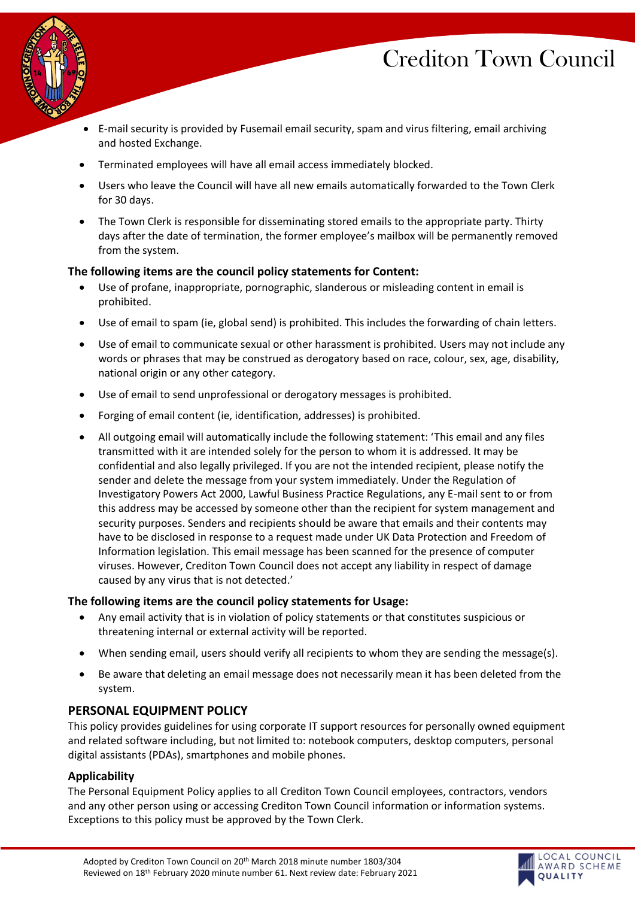

- E-mail security is provided by Fusemail email security, spam and virus filtering, email archiving and hosted Exchange.
- Terminated employees will have all email access immediately blocked.
- Users who leave the Council will have all new emails automatically forwarded to the Town Clerk for 30 days.
- The Town Clerk is responsible for disseminating stored emails to the appropriate party. Thirty days after the date of termination, the former employee's mailbox will be permanently removed from the system.

# **The following items are the council policy statements for Content:**

- Use of profane, inappropriate, pornographic, slanderous or misleading content in email is prohibited.
- Use of email to spam (ie, global send) is prohibited. This includes the forwarding of chain letters.
- Use of email to communicate sexual or other harassment is prohibited. Users may not include any words or phrases that may be construed as derogatory based on race, colour, sex, age, disability, national origin or any other category.
- Use of email to send unprofessional or derogatory messages is prohibited.
- Forging of email content (ie, identification, addresses) is prohibited.
- All outgoing email will automatically include the following statement: 'This email and any files transmitted with it are intended solely for the person to whom it is addressed. It may be confidential and also legally privileged. If you are not the intended recipient, please notify the sender and delete the message from your system immediately. Under the Regulation of Investigatory Powers Act 2000, Lawful Business Practice Regulations, any E-mail sent to or from this address may be accessed by someone other than the recipient for system management and security purposes. Senders and recipients should be aware that emails and their contents may have to be disclosed in response to a request made under UK Data Protection and Freedom of Information legislation. This email message has been scanned for the presence of computer viruses. However, Crediton Town Council does not accept any liability in respect of damage caused by any virus that is not detected.'

# **The following items are the council policy statements for Usage:**

- Any email activity that is in violation of policy statements or that constitutes suspicious or threatening internal or external activity will be reported.
- When sending email, users should verify all recipients to whom they are sending the message(s).
- Be aware that deleting an email message does not necessarily mean it has been deleted from the system.

# **PERSONAL EQUIPMENT POLICY**

This policy provides guidelines for using corporate IT support resources for personally owned equipment and related software including, but not limited to: notebook computers, desktop computers, personal digital assistants (PDAs), smartphones and mobile phones.

# **Applicability**

The Personal Equipment Policy applies to all Crediton Town Council employees, contractors, vendors and any other person using or accessing Crediton Town Council information or information systems. Exceptions to this policy must be approved by the Town Clerk.

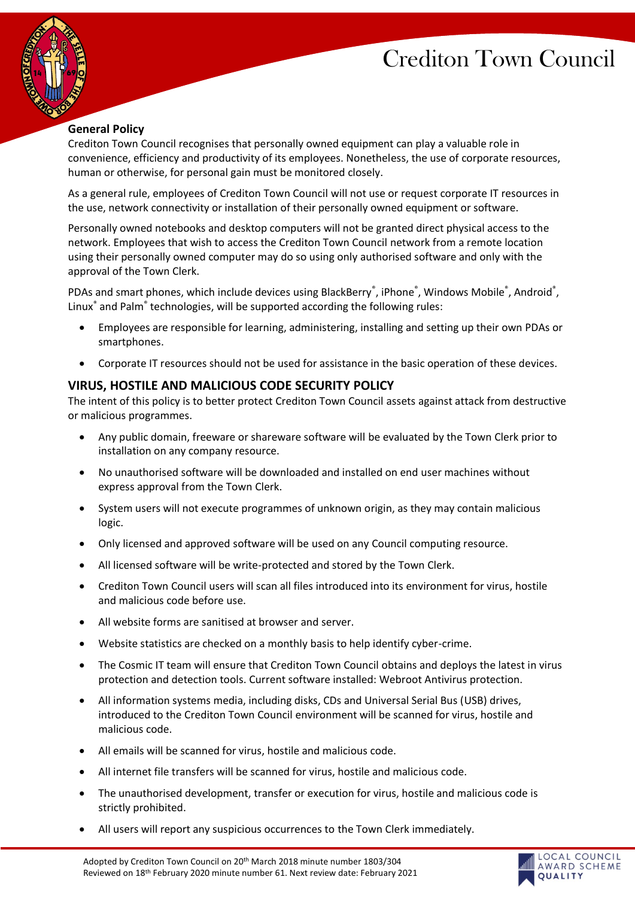

# **General Policy**

Crediton Town Council recognises that personally owned equipment can play a valuable role in convenience, efficiency and productivity of its employees. Nonetheless, the use of corporate resources, human or otherwise, for personal gain must be monitored closely.

As a general rule, employees of Crediton Town Council will not use or request corporate IT resources in the use, network connectivity or installation of their personally owned equipment or software.

Personally owned notebooks and desktop computers will not be granted direct physical access to the network. Employees that wish to access the Crediton Town Council network from a remote location using their personally owned computer may do so using only authorised software and only with the approval of the Town Clerk.

PDAs and smart phones, which include devices using BlackBerry®, iPhone®, Windows Mobile®, Android®, Linux® and Palm® technologies, will be supported according the following rules:

- Employees are responsible for learning, administering, installing and setting up their own PDAs or smartphones.
- Corporate IT resources should not be used for assistance in the basic operation of these devices.

# **VIRUS, HOSTILE AND MALICIOUS CODE SECURITY POLICY**

The intent of this policy is to better protect Crediton Town Council assets against attack from destructive or malicious programmes.

- Any public domain, freeware or shareware software will be evaluated by the Town Clerk prior to installation on any company resource.
- No unauthorised software will be downloaded and installed on end user machines without express approval from the Town Clerk.
- System users will not execute programmes of unknown origin, as they may contain malicious logic.
- Only licensed and approved software will be used on any Council computing resource.
- All licensed software will be write-protected and stored by the Town Clerk.
- Crediton Town Council users will scan all files introduced into its environment for virus, hostile and malicious code before use.
- All website forms are sanitised at browser and server.
- Website statistics are checked on a monthly basis to help identify cyber-crime.
- The Cosmic IT team will ensure that Crediton Town Council obtains and deploys the latest in virus protection and detection tools. Current software installed: Webroot Antivirus protection.
- All information systems media, including disks, CDs and Universal Serial Bus (USB) drives, introduced to the Crediton Town Council environment will be scanned for virus, hostile and malicious code.
- All emails will be scanned for virus, hostile and malicious code.
- All internet file transfers will be scanned for virus, hostile and malicious code.
- The unauthorised development, transfer or execution for virus, hostile and malicious code is strictly prohibited.
- All users will report any suspicious occurrences to the Town Clerk immediately.

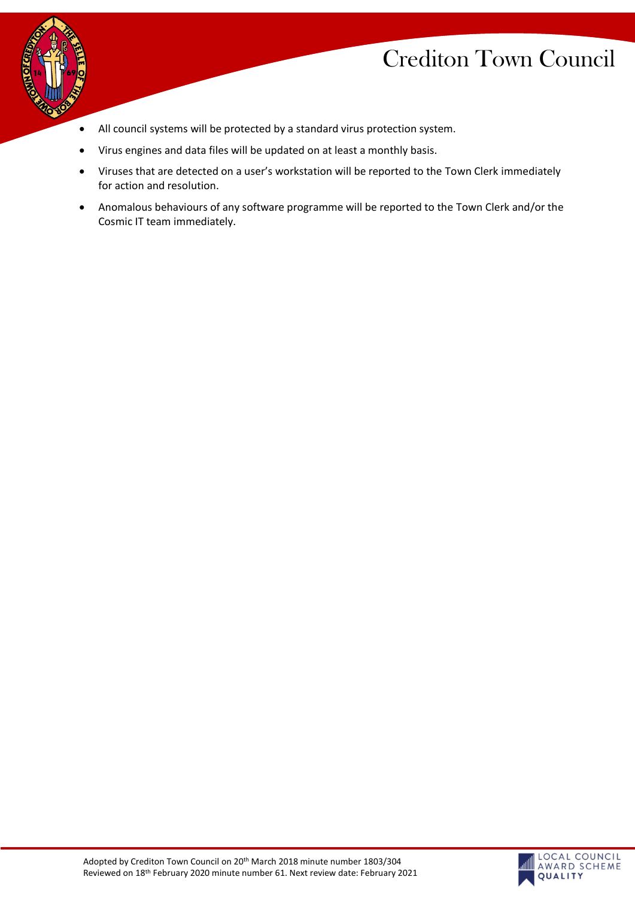

- All council systems will be protected by a standard virus protection system.
	- Virus engines and data files will be updated on at least a monthly basis.
	- Viruses that are detected on a user's workstation will be reported to the Town Clerk immediately for action and resolution.
	- Anomalous behaviours of any software programme will be reported to the Town Clerk and/or the Cosmic IT team immediately.

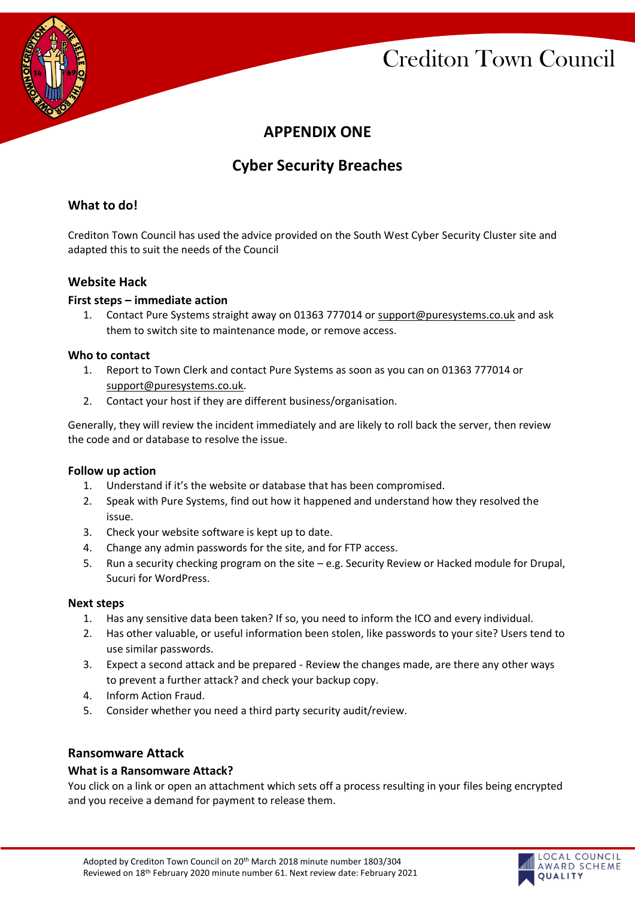

# **APPENDIX ONE**

# **Cyber Security Breaches**

# **What to do!**

Crediton Town Council has used the advice provided on the South West Cyber Security Cluster site and adapted this to suit the needs of the Council

# **Website Hack**

#### **First steps – immediate action**

1. Contact Pure Systems straight away on 01363 777014 or [support@puresystems.co.uk](mailto:support@puresystems.co.uk) and ask them to switch site to maintenance mode, or remove access.

#### **Who to contact**

- 1. Report to Town Clerk and contact Pure Systems as soon as you can on 01363 777014 or [support@puresystems.co.uk.](mailto:support@puresystems.co.uk)
- 2. Contact your host if they are different business/organisation.

Generally, they will review the incident immediately and are likely to roll back the server, then review the code and or database to resolve the issue.

#### **Follow up action**

- 1. Understand if it's the website or database that has been compromised.
- 2. Speak with Pure Systems, find out how it happened and understand how they resolved the issue.
- 3. Check your website software is kept up to date.
- 4. Change any admin passwords for the site, and for FTP access.
- 5. Run a security checking program on the site e.g. Security Review or Hacked module for Drupal, Sucuri for WordPress.

#### **Next steps**

- 1. Has any sensitive data been taken? If so, you need to inform the ICO and every individual.
- 2. Has other valuable, or useful information been stolen, like passwords to your site? Users tend to use similar passwords.
- 3. Expect a second attack and be prepared Review the changes made, are there any other ways to prevent a further attack? and check your backup copy.
- 4. Inform Action Fraud.
- 5. Consider whether you need a third party security audit/review.

# **Ransomware Attack**

#### **What is a Ransomware Attack?**

You click on a link or open an attachment which sets off a process resulting in your files being encrypted and you receive a demand for payment to release them.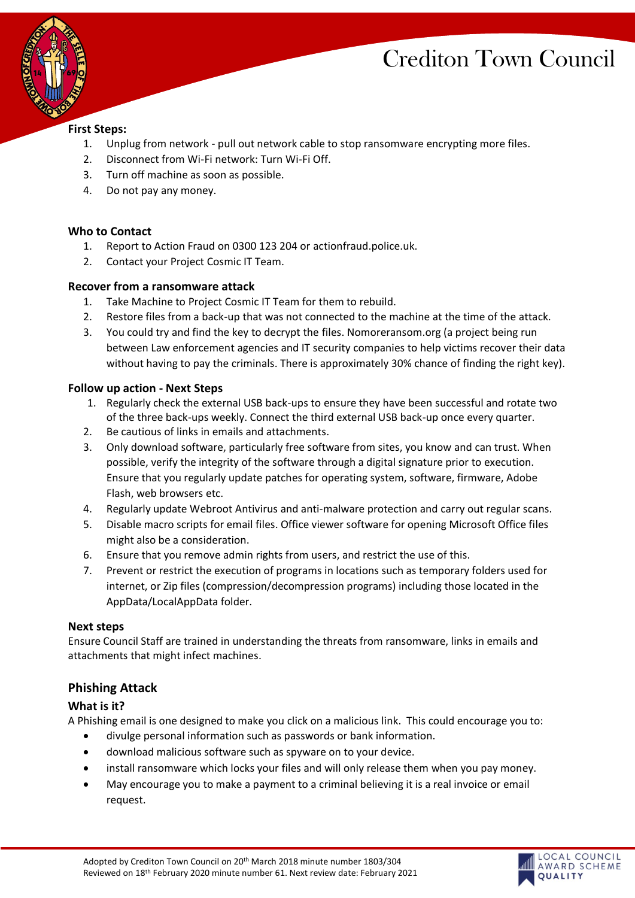LOCAL COUNCIL AWARD SCHEME **OUALITY** 



### **First Steps:**

- 1. Unplug from network pull out network cable to stop ransomware encrypting more files.
- 2. Disconnect from Wi-Fi network: Turn Wi-Fi Off.
- 3. Turn off machine as soon as possible.
- 4. Do not pay any money.

#### **Who to Contact**

- 1. Report to Action Fraud on 0300 123 204 or actionfraud.police.uk.
- 2. Contact your Project Cosmic IT Team.

#### **Recover from a ransomware attack**

- 1. Take Machine to Project Cosmic IT Team for them to rebuild.
- 2. Restore files from a back-up that was not connected to the machine at the time of the attack.
- 3. You could try and find the key to decrypt the files. Nomoreransom.org (a project being run between Law enforcement agencies and IT security companies to help victims recover their data without having to pay the criminals. There is approximately 30% chance of finding the right key).

#### **Follow up action - Next Steps**

- 1. Regularly check the external USB back-ups to ensure they have been successful and rotate two of the three back-ups weekly. Connect the third external USB back-up once every quarter.
- 2. Be cautious of links in emails and attachments.
- 3. Only download software, particularly free software from sites, you know and can trust. When possible, verify the integrity of the software through a digital signature prior to execution. Ensure that you regularly update patches for operating system, software, firmware, Adobe Flash, web browsers etc.
- 4. Regularly update Webroot Antivirus and anti-malware protection and carry out regular scans.
- 5. Disable macro scripts for email files. Office viewer software for opening Microsoft Office files might also be a consideration.
- 6. Ensure that you remove admin rights from users, and restrict the use of this.
- 7. Prevent or restrict the execution of programs in locations such as temporary folders used for internet, or Zip files (compression/decompression programs) including those located in the AppData/LocalAppData folder.

#### **Next steps**

Ensure Council Staff are trained in understanding the threats from ransomware, links in emails and attachments that might infect machines.

# **Phishing Attack**

# **What is it?**

A Phishing email is one designed to make you click on a malicious link. This could encourage you to:

- divulge personal information such as passwords or bank information.
- download malicious software such as spyware on to your device.
- install ransomware which locks your files and will only release them when you pay money.
- May encourage you to make a payment to a criminal believing it is a real invoice or email request.

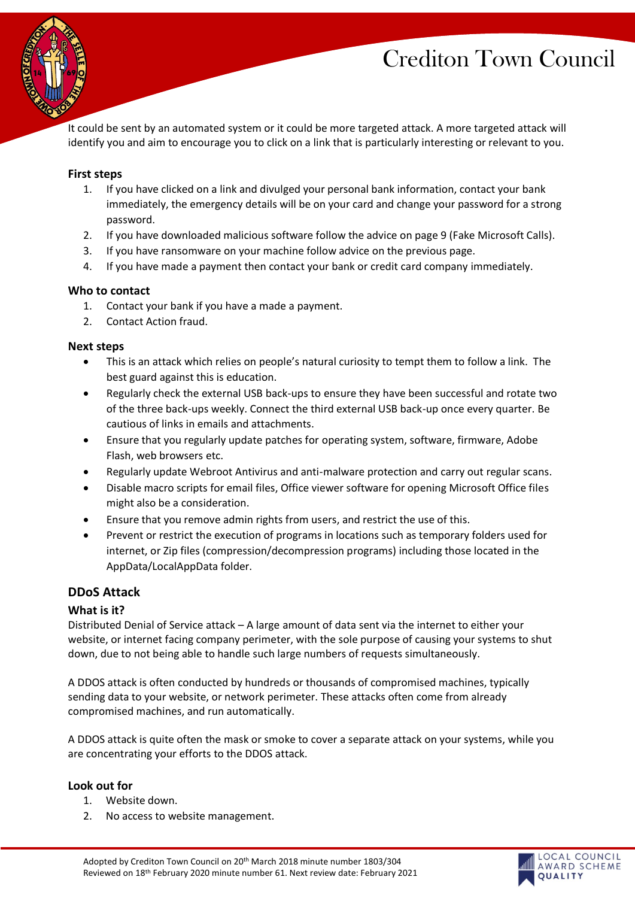

It could be sent by an automated system or it could be more targeted attack. A more targeted attack will identify you and aim to encourage you to click on a link that is particularly interesting or relevant to you.

#### **First steps**

- 1. If you have clicked on a link and divulged your personal bank information, contact your bank immediately, the emergency details will be on your card and change your password for a strong password.
- 2. If you have downloaded malicious software follow the advice on page 9 (Fake Microsoft Calls).
- 3. If you have ransomware on your machine follow advice on the previous page.
- 4. If you have made a payment then contact your bank or credit card company immediately.

#### **Who to contact**

- 1. Contact your bank if you have a made a payment.
- 2. Contact Action fraud.

#### **Next steps**

- This is an attack which relies on people's natural curiosity to tempt them to follow a link. The best guard against this is education.
- Regularly check the external USB back-ups to ensure they have been successful and rotate two of the three back-ups weekly. Connect the third external USB back-up once every quarter. Be cautious of links in emails and attachments.
- Ensure that you regularly update patches for operating system, software, firmware, Adobe Flash, web browsers etc.
- Regularly update Webroot Antivirus and anti-malware protection and carry out regular scans.
- Disable macro scripts for email files, Office viewer software for opening Microsoft Office files might also be a consideration.
- Ensure that you remove admin rights from users, and restrict the use of this.
- Prevent or restrict the execution of programs in locations such as temporary folders used for internet, or Zip files (compression/decompression programs) including those located in the AppData/LocalAppData folder.

#### **DDoS Attack**

#### **What is it?**

Distributed Denial of Service attack – A large amount of data sent via the internet to either your website, or internet facing company perimeter, with the sole purpose of causing your systems to shut down, due to not being able to handle such large numbers of requests simultaneously.

A DDOS attack is often conducted by hundreds or thousands of compromised machines, typically sending data to your website, or network perimeter. These attacks often come from already compromised machines, and run automatically.

A DDOS attack is quite often the mask or smoke to cover a separate attack on your systems, while you are concentrating your efforts to the DDOS attack.

#### **Look out for**

- 1. Website down.
- 2. No access to website management.

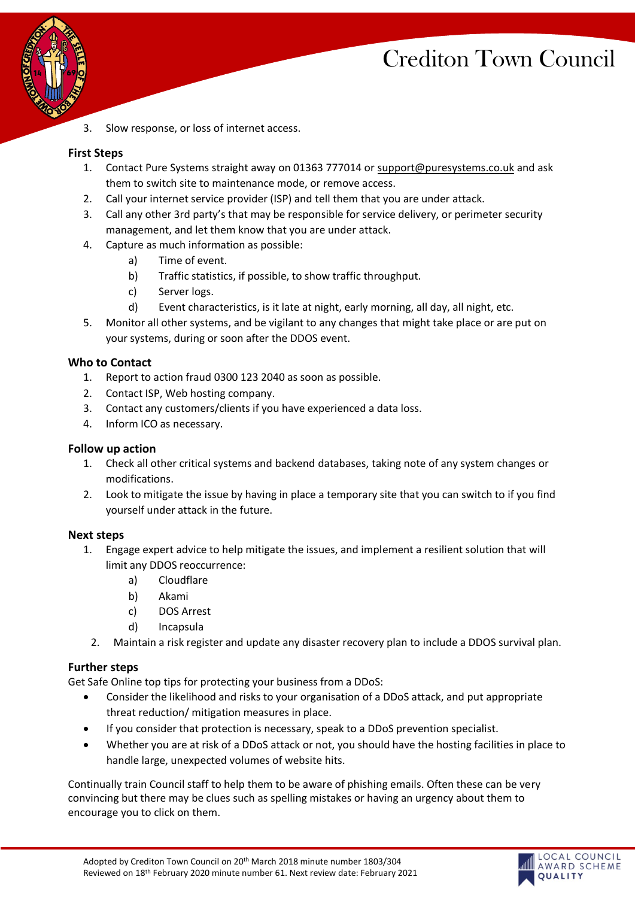LOCAL COUNCIL AWARD SCHEME

**OUALITY** 



3. Slow response, or loss of internet access.

#### **First Steps**

- 1. Contact Pure Systems straight away on 01363 777014 or [support@puresystems.co.uk](mailto:support@puresystems.co.uk) and ask them to switch site to maintenance mode, or remove access.
- 2. Call your internet service provider (ISP) and tell them that you are under attack.
- 3. Call any other 3rd party's that may be responsible for service delivery, or perimeter security management, and let them know that you are under attack.
- 4. Capture as much information as possible:
	- a) Time of event.
	- b) Traffic statistics, if possible, to show traffic throughput.
	- c) Server logs.
	- d) Event characteristics, is it late at night, early morning, all day, all night, etc.
- 5. Monitor all other systems, and be vigilant to any changes that might take place or are put on your systems, during or soon after the DDOS event.

#### **Who to Contact**

- 1. Report to action fraud 0300 123 2040 as soon as possible.
- 2. Contact ISP, Web hosting company.
- 3. Contact any customers/clients if you have experienced a data loss.
- 4. Inform ICO as necessary.

#### **Follow up action**

- 1. Check all other critical systems and backend databases, taking note of any system changes or modifications.
- 2. Look to mitigate the issue by having in place a temporary site that you can switch to if you find yourself under attack in the future.

#### **Next steps**

- 1. Engage expert advice to help mitigate the issues, and implement a resilient solution that will limit any DDOS reoccurrence:
	- a) Cloudflare
	- b) Akami
	- c) DOS Arrest
	- d) Incapsula
	- 2. Maintain a risk register and update any disaster recovery plan to include a DDOS survival plan.

# **Further steps**

Get Safe Online top tips for protecting your business from a DDoS:

- Consider the likelihood and risks to your organisation of a DDoS attack, and put appropriate threat reduction/ mitigation measures in place.
- If you consider that protection is necessary, speak to a DDoS prevention specialist.
- Whether you are at risk of a DDoS attack or not, you should have the hosting facilities in place to handle large, unexpected volumes of website hits.

Continually train Council staff to help them to be aware of phishing emails. Often these can be very convincing but there may be clues such as spelling mistakes or having an urgency about them to encourage you to click on them.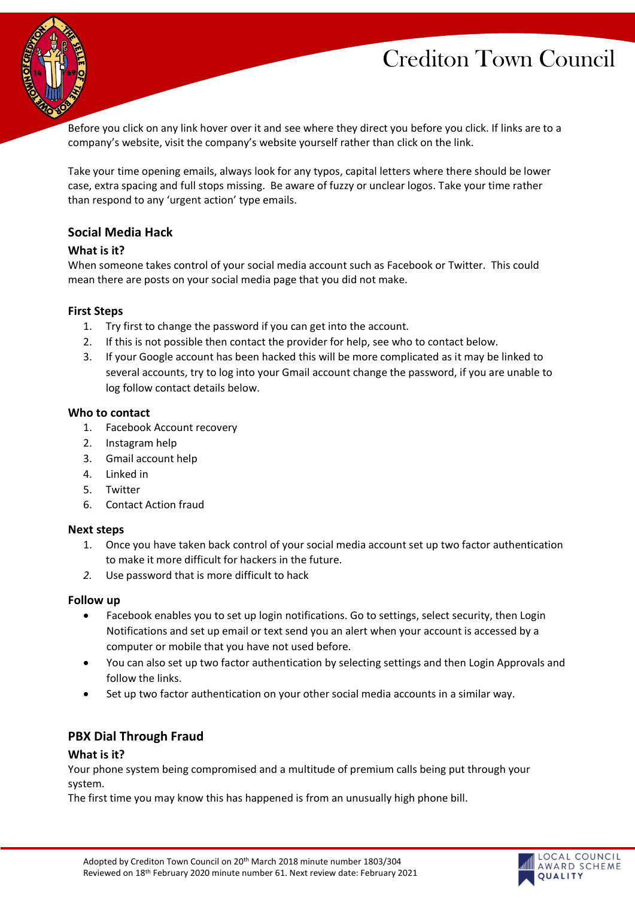

Before you click on any link hover over it and see where they direct you before you click. If links are to a company's website, visit the company's website yourself rather than click on the link.

Take your time opening emails, always look for any typos, capital letters where there should be lower case, extra spacing and full stops missing. Be aware of fuzzy or unclear logos. Take your time rather than respond to any 'urgent action' type emails.

# **Social Media Hack**

#### **What is it?**

When someone takes control of your social media account such as Facebook or Twitter. This could mean there are posts on your social media page that you did not make.

#### **First Steps**

- 1. Try first to change the password if you can get into the account.
- 2. If this is not possible then contact the provider for help, see who to contact below.
- 3. If your Google account has been hacked this will be more complicated as it may be linked to several accounts, try to log into your Gmail account change the password, if you are unable to log follow contact details below.

#### **Who to contact**

- 1. Facebook Account recovery
- 2. Instagram help
- 3. Gmail account help
- 4. Linked in
- 5. Twitter
- 6. Contact Action fraud

#### **Next steps**

- 1. Once you have taken back control of your social media account set up two factor authentication to make it more difficult for hackers in the future.
- *2.* Use password that is more difficult to hack

#### **Follow up**

- Facebook enables you to set up login notifications. Go to settings, select security, then Login Notifications and set up email or text send you an alert when your account is accessed by a computer or mobile that you have not used before.
- You can also set up two factor authentication by selecting settings and then Login Approvals and follow the links.
- Set up two factor authentication on your other social media accounts in a similar way.

# **PBX Dial Through Fraud**

#### **What is it?**

Your phone system being compromised and a multitude of premium calls being put through your system.

The first time you may know this has happened is from an unusually high phone bill.

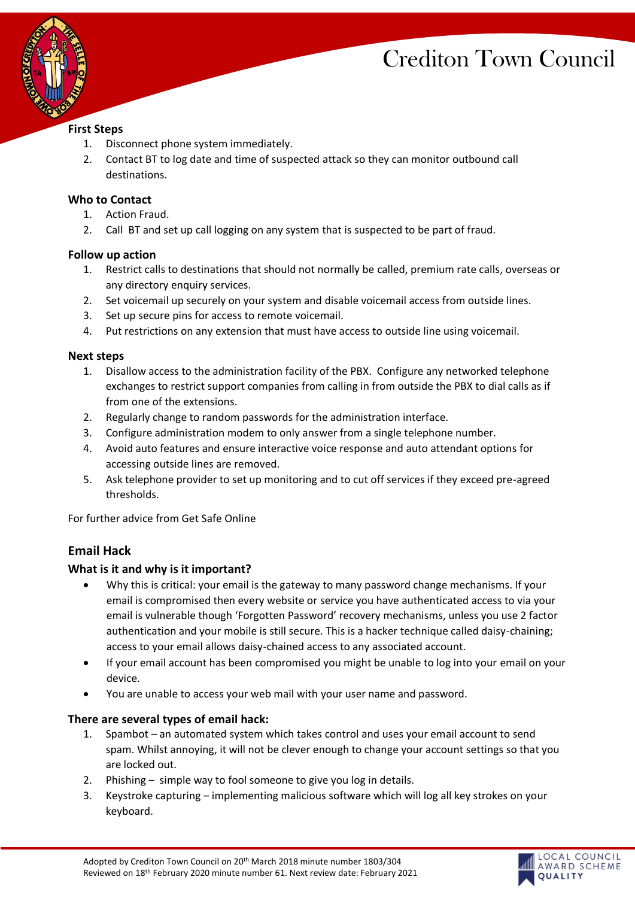LOCAL COUNCIL AWARD SCHEME

**OUALITY** 



### **First Steps**

- 1. Disconnect phone system immediately.
- 2. Contact BT to log date and time of suspected attack so they can monitor outbound call destinations.

### **Who to Contact**

- 1. Action Fraud.
- 2. Call BT and set up call logging on any system that is suspected to be part of fraud.

# **Follow up action**

- 1. Restrict calls to destinations that should not normally be called, premium rate calls, overseas or any directory enquiry services.
- 2. Set voicemail up securely on your system and disable voicemail access from outside lines.
- 3. Set up secure pins for access to remote voicemail.
- 4. Put restrictions on any extension that must have access to outside line using voicemail.

#### **Next steps**

- 1. Disallow access to the administration facility of the PBX. Configure any networked telephone exchanges to restrict support companies from calling in from outside the PBX to dial calls as if from one of the extensions.
- 2. Regularly change to random passwords for the administration interface.
- 3. Configure administration modem to only answer from a single telephone number.
- 4. Avoid auto features and ensure interactive voice response and auto attendant options for accessing outside lines are removed.
- 5. Ask telephone provider to set up monitoring and to cut off services if they exceed pre-agreed thresholds.

For further advice from Get Safe Online

# **Email Hack**

# **What is it and why is it important?**

- Why this is critical: your email is the gateway to many password change mechanisms. If your email is compromised then every website or service you have authenticated access to via your email is vulnerable though 'Forgotten Password' recovery mechanisms, unless you use 2 factor authentication and your mobile is still secure. This is a hacker technique called daisy-chaining; access to your email allows daisy-chained access to any associated account.
- If your email account has been compromised you might be unable to log into your email on your device.
- You are unable to access your web mail with your user name and password.

# **There are several types of email hack:**

- 1. Spambot an automated system which takes control and uses your email account to send spam. Whilst annoying, it will not be clever enough to change your account settings so that you are locked out.
- 2. Phishing simple way to fool someone to give you log in details.
- 3. Keystroke capturing implementing malicious software which will log all key strokes on your keyboard.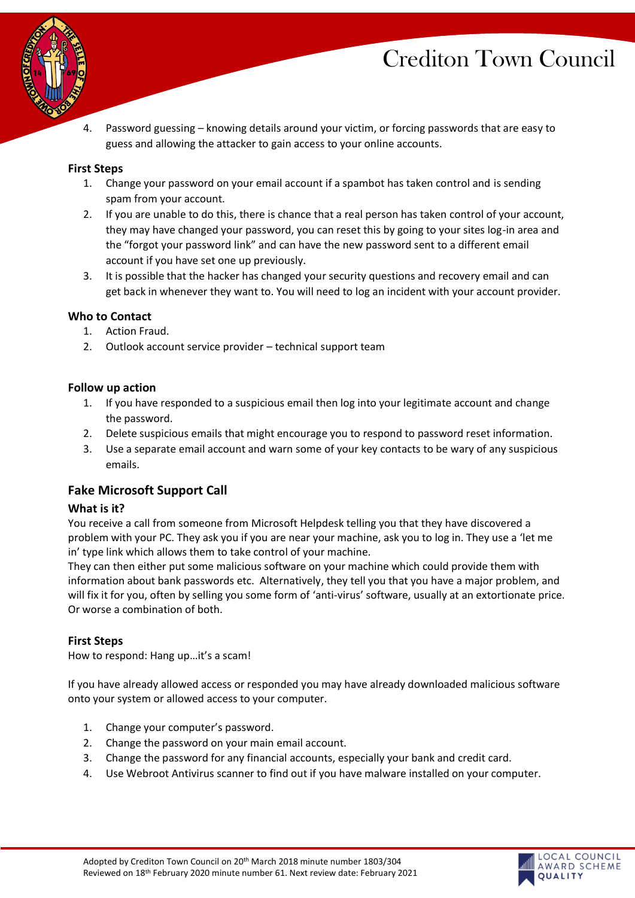

LOCAL COUNCIL AWARD SCHEME

**OUALITY** 



4. Password guessing – knowing details around your victim, or forcing passwords that are easy to guess and allowing the attacker to gain access to your online accounts.

#### **First Steps**

- 1. Change your password on your email account if a spambot has taken control and is sending spam from your account.
- 2. If you are unable to do this, there is chance that a real person has taken control of your account, they may have changed your password, you can reset this by going to your sites log-in area and the "forgot your password link" and can have the new password sent to a different email account if you have set one up previously.
- 3. It is possible that the hacker has changed your security questions and recovery email and can get back in whenever they want to. You will need to log an incident with your account provider.

#### **Who to Contact**

- 1. Action Fraud.
- 2. Outlook account service provider technical support team

#### **Follow up action**

- 1. If you have responded to a suspicious email then log into your legitimate account and change the password.
- 2. Delete suspicious emails that might encourage you to respond to password reset information.
- 3. Use a separate email account and warn some of your key contacts to be wary of any suspicious emails.

# **Fake Microsoft Support Call**

#### **What is it?**

You receive a call from someone from Microsoft Helpdesk telling you that they have discovered a problem with your PC. They ask you if you are near your machine, ask you to log in. They use a 'let me in' type link which allows them to take control of your machine.

They can then either put some malicious software on your machine which could provide them with information about bank passwords etc. Alternatively, they tell you that you have a major problem, and will fix it for you, often by selling you some form of 'anti-virus' software, usually at an extortionate price. Or worse a combination of both.

#### **First Steps**

How to respond: Hang up…it's a scam!

If you have already allowed access or responded you may have already downloaded malicious software onto your system or allowed access to your computer.

- 1. Change your computer's password.
- 2. Change the password on your main email account.
- 3. Change the password for any financial accounts, especially your bank and credit card.
- 4. Use Webroot Antivirus scanner to find out if you have malware installed on your computer.